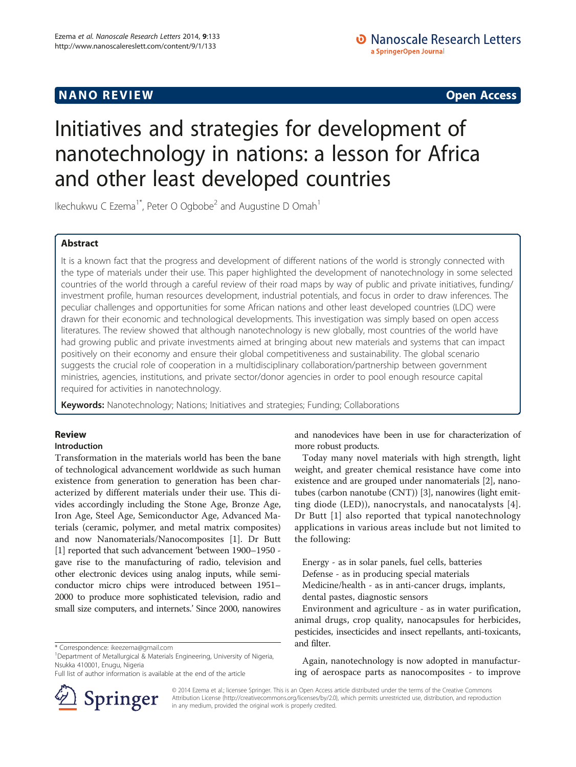## NANO REVIEW **NANO REVIEW CONSUMING THE CONSUMING OPEN ACCESS**

# Initiatives and strategies for development of nanotechnology in nations: a lesson for Africa and other least developed countries

Ikechukwu C Ezema<sup>1\*</sup>, Peter O Ogbobe<sup>2</sup> and Augustine D Omah<sup>1</sup>

## Abstract

It is a known fact that the progress and development of different nations of the world is strongly connected with the type of materials under their use. This paper highlighted the development of nanotechnology in some selected countries of the world through a careful review of their road maps by way of public and private initiatives, funding/ investment profile, human resources development, industrial potentials, and focus in order to draw inferences. The peculiar challenges and opportunities for some African nations and other least developed countries (LDC) were drawn for their economic and technological developments. This investigation was simply based on open access literatures. The review showed that although nanotechnology is new globally, most countries of the world have had growing public and private investments aimed at bringing about new materials and systems that can impact positively on their economy and ensure their global competitiveness and sustainability. The global scenario suggests the crucial role of cooperation in a multidisciplinary collaboration/partnership between government ministries, agencies, institutions, and private sector/donor agencies in order to pool enough resource capital required for activities in nanotechnology.

Keywords: Nanotechnology; Nations; Initiatives and strategies; Funding; Collaborations

## Review

### Introduction

Transformation in the materials world has been the bane of technological advancement worldwide as such human existence from generation to generation has been characterized by different materials under their use. This divides accordingly including the Stone Age, Bronze Age, Iron Age, Steel Age, Semiconductor Age, Advanced Materials (ceramic, polymer, and metal matrix composites) and now Nanomaterials/Nanocomposites [[1](#page-6-0)]. Dr Butt [[1\]](#page-6-0) reported that such advancement 'between 1900–1950 gave rise to the manufacturing of radio, television and other electronic devices using analog inputs, while semiconductor micro chips were introduced between 1951– 2000 to produce more sophisticated television, radio and small size computers, and internets.' Since 2000, nanowires

<sup>1</sup>Department of Metallurgical & Materials Engineering, University of Nigeria, Nsukka 410001, Enugu, Nigeria



Today many novel materials with high strength, light weight, and greater chemical resistance have come into existence and are grouped under nanomaterials [\[2\]](#page-7-0), nanotubes (carbon nanotube (CNT)) [[3\]](#page-7-0), nanowires (light emitting diode (LED)), nanocrystals, and nanocatalysts [[4](#page-7-0)]. Dr Butt [\[1](#page-6-0)] also reported that typical nanotechnology applications in various areas include but not limited to the following:

Energy - as in solar panels, fuel cells, batteries Defense - as in producing special materials Medicine/health - as in anti-cancer drugs, implants, dental pastes, diagnostic sensors

Environment and agriculture - as in water purification, animal drugs, crop quality, nanocapsules for herbicides, pesticides, insecticides and insect repellants, anti-toxicants, and filter.

Again, nanotechnology is now adopted in manufacturing of aerospace parts as nanocomposites - to improve



© 2014 Ezema et al.; licensee Springer. This is an Open Access article distributed under the terms of the Creative Commons Attribution License [\(http://creativecommons.org/licenses/by/2.0\)](http://creativecommons.org/licenses/by/2.0), which permits unrestricted use, distribution, and reproduction in any medium, provided the original work is properly credited.

<sup>\*</sup> Correspondence: [ikeezema@gmail.com](mailto:ikeezema@gmail.com) <sup>1</sup>

Full list of author information is available at the end of the article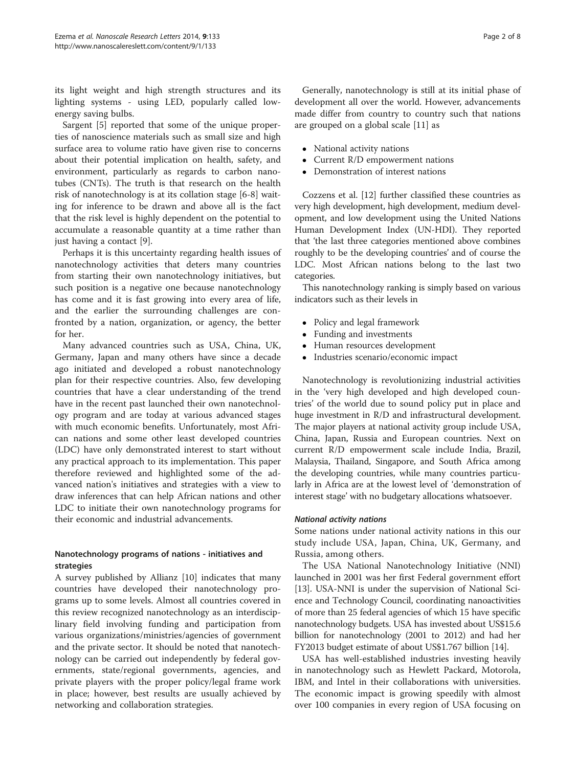its light weight and high strength structures and its lighting systems - using LED, popularly called lowenergy saving bulbs.

Sargent [[5](#page-7-0)] reported that some of the unique properties of nanoscience materials such as small size and high surface area to volume ratio have given rise to concerns about their potential implication on health, safety, and environment, particularly as regards to carbon nanotubes (CNTs). The truth is that research on the health risk of nanotechnology is at its collation stage [[6-8](#page-7-0)] waiting for inference to be drawn and above all is the fact that the risk level is highly dependent on the potential to accumulate a reasonable quantity at a time rather than just having a contact [[9\]](#page-7-0).

Perhaps it is this uncertainty regarding health issues of nanotechnology activities that deters many countries from starting their own nanotechnology initiatives, but such position is a negative one because nanotechnology has come and it is fast growing into every area of life, and the earlier the surrounding challenges are confronted by a nation, organization, or agency, the better for her.

Many advanced countries such as USA, China, UK, Germany, Japan and many others have since a decade ago initiated and developed a robust nanotechnology plan for their respective countries. Also, few developing countries that have a clear understanding of the trend have in the recent past launched their own nanotechnology program and are today at various advanced stages with much economic benefits. Unfortunately, most African nations and some other least developed countries (LDC) have only demonstrated interest to start without any practical approach to its implementation. This paper therefore reviewed and highlighted some of the advanced nation's initiatives and strategies with a view to draw inferences that can help African nations and other LDC to initiate their own nanotechnology programs for their economic and industrial advancements.

## Nanotechnology programs of nations - initiatives and strategies

A survey published by Allianz [\[10\]](#page-7-0) indicates that many countries have developed their nanotechnology programs up to some levels. Almost all countries covered in this review recognized nanotechnology as an interdisciplinary field involving funding and participation from various organizations/ministries/agencies of government and the private sector. It should be noted that nanotechnology can be carried out independently by federal governments, state/regional governments, agencies, and private players with the proper policy/legal frame work in place; however, best results are usually achieved by networking and collaboration strategies.

Generally, nanotechnology is still at its initial phase of development all over the world. However, advancements made differ from country to country such that nations are grouped on a global scale [[11](#page-7-0)] as

- National activity nations<br>• Current R/D empowerm
- Current R/D empowerment nations
- Demonstration of interest nations

Cozzens et al. [[12](#page-7-0)] further classified these countries as very high development, high development, medium development, and low development using the United Nations Human Development Index (UN-HDI). They reported that 'the last three categories mentioned above combines roughly to be the developing countries' and of course the LDC. Most African nations belong to the last two categories.

This nanotechnology ranking is simply based on various indicators such as their levels in

- Policy and legal framework
- Funding and investments
- Human resources development
- Industries scenario/economic impact

Nanotechnology is revolutionizing industrial activities in the 'very high developed and high developed countries' of the world due to sound policy put in place and huge investment in R/D and infrastructural development. The major players at national activity group include USA, China, Japan, Russia and European countries. Next on current R/D empowerment scale include India, Brazil, Malaysia, Thailand, Singapore, and South Africa among the developing countries, while many countries particularly in Africa are at the lowest level of 'demonstration of interest stage' with no budgetary allocations whatsoever.

### National activity nations

Some nations under national activity nations in this our study include USA, Japan, China, UK, Germany, and Russia, among others.

The USA National Nanotechnology Initiative (NNI) launched in 2001 was her first Federal government effort [[13](#page-7-0)]. USA-NNI is under the supervision of National Science and Technology Council, coordinating nanoactivities of more than 25 federal agencies of which 15 have specific nanotechnology budgets. USA has invested about US\$15.6 billion for nanotechnology (2001 to 2012) and had her FY2013 budget estimate of about US\$1.767 billion [[14](#page-7-0)].

USA has well-established industries investing heavily in nanotechnology such as Hewlett Packard, Motorola, IBM, and Intel in their collaborations with universities. The economic impact is growing speedily with almost over 100 companies in every region of USA focusing on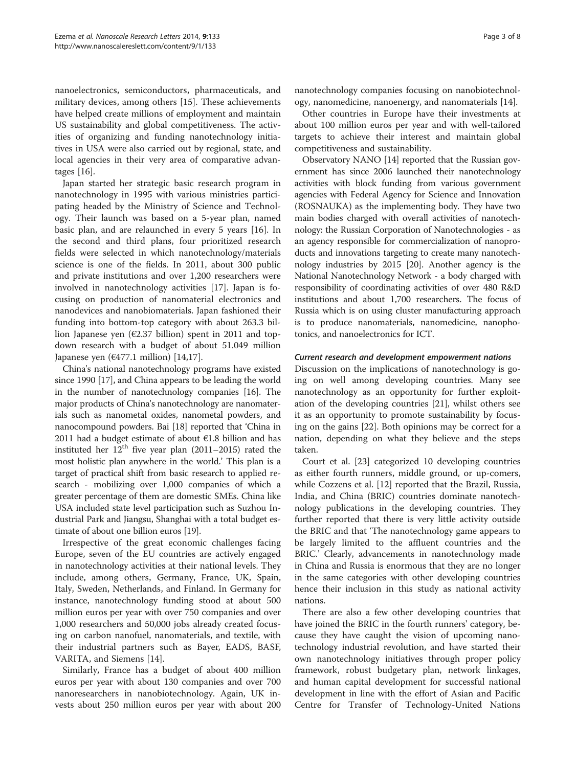nanoelectronics, semiconductors, pharmaceuticals, and military devices, among others [\[15](#page-7-0)]. These achievements have helped create millions of employment and maintain US sustainability and global competitiveness. The activities of organizing and funding nanotechnology initiatives in USA were also carried out by regional, state, and local agencies in their very area of comparative advantages [\[16](#page-7-0)].

Japan started her strategic basic research program in nanotechnology in 1995 with various ministries participating headed by the Ministry of Science and Technology. Their launch was based on a 5-year plan, named basic plan, and are relaunched in every 5 years [[16\]](#page-7-0). In the second and third plans, four prioritized research fields were selected in which nanotechnology/materials science is one of the fields. In 2011, about 300 public and private institutions and over 1,200 researchers were involved in nanotechnology activities [\[17\]](#page-7-0). Japan is focusing on production of nanomaterial electronics and nanodevices and nanobiomaterials. Japan fashioned their funding into bottom-top category with about 263.3 billion Japanese yen ( $\epsilon$ 2.37 billion) spent in 2011 and topdown research with a budget of about 51.049 million Japanese yen ( $\epsilon$ 477.1 million) [[14,17\]](#page-7-0).

China's national nanotechnology programs have existed since 1990 [\[17\]](#page-7-0), and China appears to be leading the world in the number of nanotechnology companies [\[16\]](#page-7-0). The major products of China's nanotechnology are nanomaterials such as nanometal oxides, nanometal powders, and nanocompound powders. Bai [\[18\]](#page-7-0) reported that 'China in 2011 had a budget estimate of about  $E1.8$  billion and has instituted her  $12<sup>th</sup>$  five year plan (2011–2015) rated the most holistic plan anywhere in the world.' This plan is a target of practical shift from basic research to applied research - mobilizing over 1,000 companies of which a greater percentage of them are domestic SMEs. China like USA included state level participation such as Suzhou Industrial Park and Jiangsu, Shanghai with a total budget estimate of about one billion euros [\[19\]](#page-7-0).

Irrespective of the great economic challenges facing Europe, seven of the EU countries are actively engaged in nanotechnology activities at their national levels. They include, among others, Germany, France, UK, Spain, Italy, Sweden, Netherlands, and Finland. In Germany for instance, nanotechnology funding stood at about 500 million euros per year with over 750 companies and over 1,000 researchers and 50,000 jobs already created focusing on carbon nanofuel, nanomaterials, and textile, with their industrial partners such as Bayer, EADS, BASF, VARITA, and Siemens [\[14\]](#page-7-0).

Similarly, France has a budget of about 400 million euros per year with about 130 companies and over 700 nanoresearchers in nanobiotechnology. Again, UK invests about 250 million euros per year with about 200 nanotechnology companies focusing on nanobiotechnology, nanomedicine, nanoenergy, and nanomaterials [[14](#page-7-0)].

Other countries in Europe have their investments at about 100 million euros per year and with well-tailored targets to achieve their interest and maintain global competitiveness and sustainability.

Observatory NANO [\[14\]](#page-7-0) reported that the Russian government has since 2006 launched their nanotechnology activities with block funding from various government agencies with Federal Agency for Science and Innovation (ROSNAUKA) as the implementing body. They have two main bodies charged with overall activities of nanotechnology: the Russian Corporation of Nanotechnologies - as an agency responsible for commercialization of nanoproducts and innovations targeting to create many nanotechnology industries by 2015 [\[20\]](#page-7-0). Another agency is the National Nanotechnology Network - a body charged with responsibility of coordinating activities of over 480 R&D institutions and about 1,700 researchers. The focus of Russia which is on using cluster manufacturing approach is to produce nanomaterials, nanomedicine, nanophotonics, and nanoelectronics for ICT.

#### Current research and development empowerment nations

Discussion on the implications of nanotechnology is going on well among developing countries. Many see nanotechnology as an opportunity for further exploitation of the developing countries [\[21\]](#page-7-0), whilst others see it as an opportunity to promote sustainability by focusing on the gains [[22](#page-7-0)]. Both opinions may be correct for a nation, depending on what they believe and the steps taken.

Court et al. [[23\]](#page-7-0) categorized 10 developing countries as either fourth runners, middle ground, or up-comers, while Cozzens et al. [[12](#page-7-0)] reported that the Brazil, Russia, India, and China (BRIC) countries dominate nanotechnology publications in the developing countries. They further reported that there is very little activity outside the BRIC and that 'The nanotechnology game appears to be largely limited to the affluent countries and the BRIC.' Clearly, advancements in nanotechnology made in China and Russia is enormous that they are no longer in the same categories with other developing countries hence their inclusion in this study as national activity nations.

There are also a few other developing countries that have joined the BRIC in the fourth runners' category, because they have caught the vision of upcoming nanotechnology industrial revolution, and have started their own nanotechnology initiatives through proper policy framework, robust budgetary plan, network linkages, and human capital development for successful national development in line with the effort of Asian and Pacific Centre for Transfer of Technology-United Nations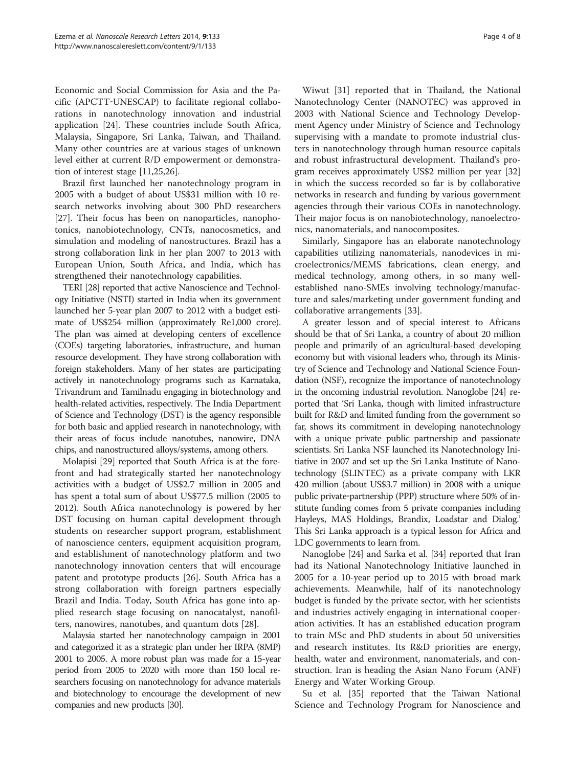Economic and Social Commission for Asia and the Pacific (APCTT‐UNESCAP) to facilitate regional collaborations in nanotechnology innovation and industrial application [\[24](#page-7-0)]. These countries include South Africa, Malaysia, Singapore, Sri Lanka, Taiwan, and Thailand. Many other countries are at various stages of unknown level either at current R/D empowerment or demonstration of interest stage [\[11,25,26\]](#page-7-0).

Brazil first launched her nanotechnology program in 2005 with a budget of about US\$31 million with 10 research networks involving about 300 PhD researchers [[27\]](#page-7-0). Their focus has been on nanoparticles, nanophotonics, nanobiotechnology, CNTs, nanocosmetics, and simulation and modeling of nanostructures. Brazil has a strong collaboration link in her plan 2007 to 2013 with European Union, South Africa, and India, which has strengthened their nanotechnology capabilities.

TERI [\[28](#page-7-0)] reported that active Nanoscience and Technology Initiative (NSTI) started in India when its government launched her 5-year plan 2007 to 2012 with a budget estimate of US\$254 million (approximately Re1,000 crore). The plan was aimed at developing centers of excellence (COEs) targeting laboratories, infrastructure, and human resource development. They have strong collaboration with foreign stakeholders. Many of her states are participating actively in nanotechnology programs such as Karnataka, Trivandrum and Tamilnadu engaging in biotechnology and health-related activities, respectively. The India Department of Science and Technology (DST) is the agency responsible for both basic and applied research in nanotechnology, with their areas of focus include nanotubes, nanowire, DNA chips, and nanostructured alloys/systems, among others.

Molapisi [\[29](#page-7-0)] reported that South Africa is at the forefront and had strategically started her nanotechnology activities with a budget of US\$2.7 million in 2005 and has spent a total sum of about US\$77.5 million (2005 to 2012). South Africa nanotechnology is powered by her DST focusing on human capital development through students on researcher support program, establishment of nanoscience centers, equipment acquisition program, and establishment of nanotechnology platform and two nanotechnology innovation centers that will encourage patent and prototype products [\[26](#page-7-0)]. South Africa has a strong collaboration with foreign partners especially Brazil and India. Today, South Africa has gone into applied research stage focusing on nanocatalyst, nanofilters, nanowires, nanotubes, and quantum dots [[28\]](#page-7-0).

Malaysia started her nanotechnology campaign in 2001 and categorized it as a strategic plan under her IRPA (8MP) 2001 to 2005. A more robust plan was made for a 15-year period from 2005 to 2020 with more than 150 local researchers focusing on nanotechnology for advance materials and biotechnology to encourage the development of new companies and new products [[30\]](#page-7-0).

Wiwut [[31\]](#page-7-0) reported that in Thailand, the National Nanotechnology Center (NANOTEC) was approved in 2003 with National Science and Technology Development Agency under Ministry of Science and Technology supervising with a mandate to promote industrial clusters in nanotechnology through human resource capitals and robust infrastructural development. Thailand's program receives approximately US\$2 million per year [[32](#page-7-0)] in which the success recorded so far is by collaborative networks in research and funding by various government agencies through their various COEs in nanotechnology. Their major focus is on nanobiotechnology, nanoelectronics, nanomaterials, and nanocomposites.

Similarly, Singapore has an elaborate nanotechnology capabilities utilizing nanomaterials, nanodevices in microelectronics/MEMS fabrications, clean energy, and medical technology, among others, in so many wellestablished nano-SMEs involving technology/manufacture and sales/marketing under government funding and collaborative arrangements [\[33](#page-7-0)].

A greater lesson and of special interest to Africans should be that of Sri Lanka, a country of about 20 million people and primarily of an agricultural-based developing economy but with visional leaders who, through its Ministry of Science and Technology and National Science Foundation (NSF), recognize the importance of nanotechnology in the oncoming industrial revolution. Nanoglobe [\[24\]](#page-7-0) reported that 'Sri Lanka, though with limited infrastructure built for R&D and limited funding from the government so far, shows its commitment in developing nanotechnology with a unique private public partnership and passionate scientists. Sri Lanka NSF launched its Nanotechnology Initiative in 2007 and set up the Sri Lanka Institute of Nanotechnology (SLINTEC) as a private company with LKR 420 million (about US\$3.7 million) in 2008 with a unique public private‐partnership (PPP) structure where 50% of institute funding comes from 5 private companies including Hayleys, MAS Holdings, Brandix, Loadstar and Dialog.' This Sri Lanka approach is a typical lesson for Africa and LDC governments to learn from.

Nanoglobe [\[24](#page-7-0)] and Sarka et al. [[34\]](#page-7-0) reported that Iran had its National Nanotechnology Initiative launched in 2005 for a 10-year period up to 2015 with broad mark achievements. Meanwhile, half of its nanotechnology budget is funded by the private sector, with her scientists and industries actively engaging in international cooperation activities. It has an established education program to train MSc and PhD students in about 50 universities and research institutes. Its R&D priorities are energy, health, water and environment, nanomaterials, and construction. Iran is heading the Asian Nano Forum (ANF) Energy and Water Working Group.

Su et al. [[35](#page-7-0)] reported that the Taiwan National Science and Technology Program for Nanoscience and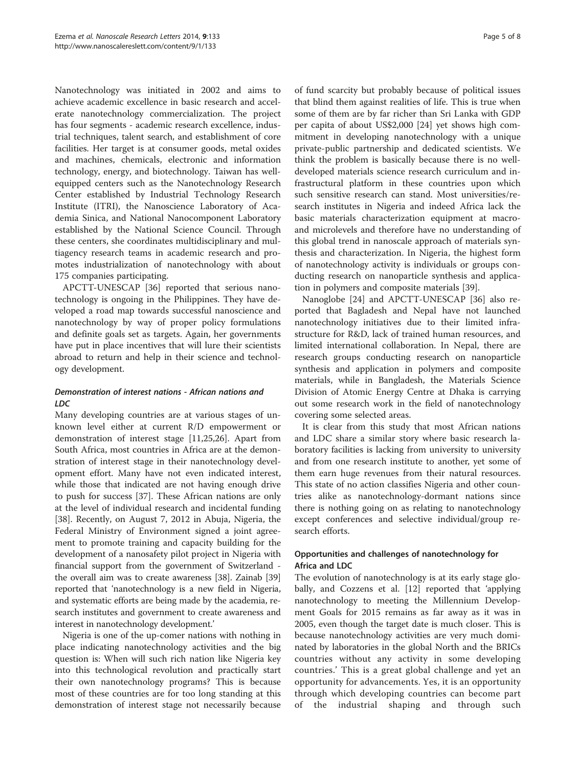Nanotechnology was initiated in 2002 and aims to achieve academic excellence in basic research and accelerate nanotechnology commercialization. The project has four segments - academic research excellence, industrial techniques, talent search, and establishment of core facilities. Her target is at consumer goods, metal oxides and machines, chemicals, electronic and information technology, energy, and biotechnology. Taiwan has wellequipped centers such as the Nanotechnology Research Center established by Industrial Technology Research Institute (ITRI), the Nanoscience Laboratory of Academia Sinica, and National Nanocomponent Laboratory established by the National Science Council. Through these centers, she coordinates multidisciplinary and multiagency research teams in academic research and promotes industrialization of nanotechnology with about 175 companies participating.

APCTT-UNESCAP [\[36](#page-7-0)] reported that serious nanotechnology is ongoing in the Philippines. They have developed a road map towards successful nanoscience and nanotechnology by way of proper policy formulations and definite goals set as targets. Again, her governments have put in place incentives that will lure their scientists abroad to return and help in their science and technology development.

## Demonstration of interest nations - African nations and  $IDC$

Many developing countries are at various stages of unknown level either at current R/D empowerment or demonstration of interest stage [\[11,25,26](#page-7-0)]. Apart from South Africa, most countries in Africa are at the demonstration of interest stage in their nanotechnology development effort. Many have not even indicated interest, while those that indicated are not having enough drive to push for success [\[37](#page-7-0)]. These African nations are only at the level of individual research and incidental funding [[38\]](#page-7-0). Recently, on August 7, 2012 in Abuja, Nigeria, the Federal Ministry of Environment signed a joint agreement to promote training and capacity building for the development of a nanosafety pilot project in Nigeria with financial support from the government of Switzerland the overall aim was to create awareness [\[38\]](#page-7-0). Zainab [[39](#page-7-0)] reported that 'nanotechnology is a new field in Nigeria, and systematic efforts are being made by the academia, research institutes and government to create awareness and interest in nanotechnology development.'

Nigeria is one of the up-comer nations with nothing in place indicating nanotechnology activities and the big question is: When will such rich nation like Nigeria key into this technological revolution and practically start their own nanotechnology programs? This is because most of these countries are for too long standing at this demonstration of interest stage not necessarily because

of fund scarcity but probably because of political issues that blind them against realities of life. This is true when some of them are by far richer than Sri Lanka with GDP per capita of about US\$2,000 [\[24](#page-7-0)] yet shows high commitment in developing nanotechnology with a unique private-public partnership and dedicated scientists. We think the problem is basically because there is no welldeveloped materials science research curriculum and infrastructural platform in these countries upon which such sensitive research can stand. Most universities/research institutes in Nigeria and indeed Africa lack the basic materials characterization equipment at macroand microlevels and therefore have no understanding of this global trend in nanoscale approach of materials synthesis and characterization. In Nigeria, the highest form of nanotechnology activity is individuals or groups conducting research on nanoparticle synthesis and application in polymers and composite materials [\[39](#page-7-0)].

Nanoglobe [[24](#page-7-0)] and APCTT-UNESCAP [\[36](#page-7-0)] also reported that Bagladesh and Nepal have not launched nanotechnology initiatives due to their limited infrastructure for R&D, lack of trained human resources, and limited international collaboration. In Nepal, there are research groups conducting research on nanoparticle synthesis and application in polymers and composite materials, while in Bangladesh, the Materials Science Division of Atomic Energy Centre at Dhaka is carrying out some research work in the field of nanotechnology covering some selected areas.

It is clear from this study that most African nations and LDC share a similar story where basic research laboratory facilities is lacking from university to university and from one research institute to another, yet some of them earn huge revenues from their natural resources. This state of no action classifies Nigeria and other countries alike as nanotechnology-dormant nations since there is nothing going on as relating to nanotechnology except conferences and selective individual/group research efforts.

## Opportunities and challenges of nanotechnology for Africa and LDC

The evolution of nanotechnology is at its early stage globally, and Cozzens et al. [\[12\]](#page-7-0) reported that 'applying nanotechnology to meeting the Millennium Development Goals for 2015 remains as far away as it was in 2005, even though the target date is much closer. This is because nanotechnology activities are very much dominated by laboratories in the global North and the BRICs countries without any activity in some developing countries.' This is a great global challenge and yet an opportunity for advancements. Yes, it is an opportunity through which developing countries can become part of the industrial shaping and through such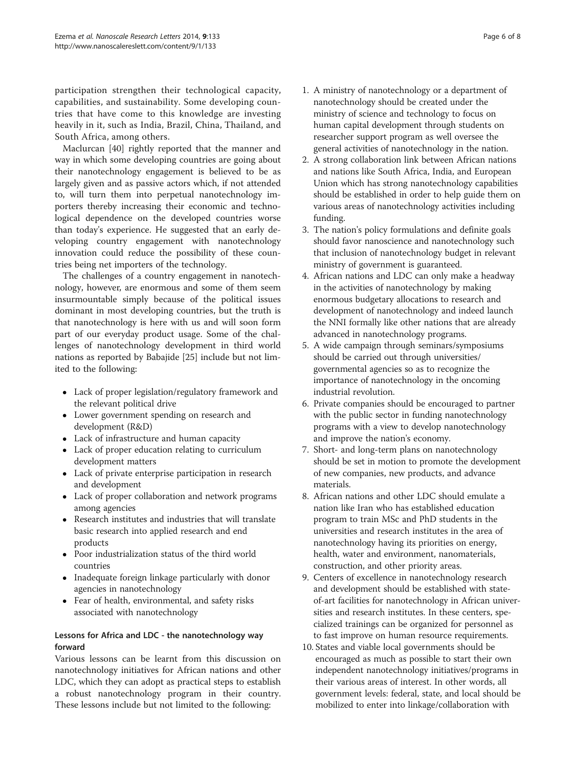participation strengthen their technological capacity, capabilities, and sustainability. Some developing countries that have come to this knowledge are investing heavily in it, such as India, Brazil, China, Thailand, and South Africa, among others.

Maclurcan [[40\]](#page-7-0) rightly reported that the manner and way in which some developing countries are going about their nanotechnology engagement is believed to be as largely given and as passive actors which, if not attended to, will turn them into perpetual nanotechnology importers thereby increasing their economic and technological dependence on the developed countries worse than today's experience. He suggested that an early developing country engagement with nanotechnology innovation could reduce the possibility of these countries being net importers of the technology.

The challenges of a country engagement in nanotechnology, however, are enormous and some of them seem insurmountable simply because of the political issues dominant in most developing countries, but the truth is that nanotechnology is here with us and will soon form part of our everyday product usage. Some of the challenges of nanotechnology development in third world nations as reported by Babajide [[25](#page-7-0)] include but not limited to the following:

- Lack of proper legislation/regulatory framework and the relevant political drive
- Lower government spending on research and development (R&D)
- Lack of infrastructure and human capacity
- Lack of proper education relating to curriculum development matters
- Lack of private enterprise participation in research and development
- Lack of proper collaboration and network programs among agencies
- Research institutes and industries that will translate basic research into applied research and end products
- Poor industrialization status of the third world countries
- Inadequate foreign linkage particularly with donor agencies in nanotechnology
- Fear of health, environmental, and safety risks associated with nanotechnology

## Lessons for Africa and LDC - the nanotechnology way forward

Various lessons can be learnt from this discussion on nanotechnology initiatives for African nations and other LDC, which they can adopt as practical steps to establish a robust nanotechnology program in their country. These lessons include but not limited to the following:

- 1. A ministry of nanotechnology or a department of nanotechnology should be created under the ministry of science and technology to focus on human capital development through students on researcher support program as well oversee the general activities of nanotechnology in the nation.
- 2. A strong collaboration link between African nations and nations like South Africa, India, and European Union which has strong nanotechnology capabilities should be established in order to help guide them on various areas of nanotechnology activities including funding.
- 3. The nation's policy formulations and definite goals should favor nanoscience and nanotechnology such that inclusion of nanotechnology budget in relevant ministry of government is guaranteed.
- 4. African nations and LDC can only make a headway in the activities of nanotechnology by making enormous budgetary allocations to research and development of nanotechnology and indeed launch the NNI formally like other nations that are already advanced in nanotechnology programs.
- 5. A wide campaign through seminars/symposiums should be carried out through universities/ governmental agencies so as to recognize the importance of nanotechnology in the oncoming industrial revolution.
- 6. Private companies should be encouraged to partner with the public sector in funding nanotechnology programs with a view to develop nanotechnology and improve the nation's economy.
- 7. Short- and long-term plans on nanotechnology should be set in motion to promote the development of new companies, new products, and advance materials.
- 8. African nations and other LDC should emulate a nation like Iran who has established education program to train MSc and PhD students in the universities and research institutes in the area of nanotechnology having its priorities on energy, health, water and environment, nanomaterials, construction, and other priority areas.
- 9. Centers of excellence in nanotechnology research and development should be established with stateof-art facilities for nanotechnology in African universities and research institutes. In these centers, specialized trainings can be organized for personnel as to fast improve on human resource requirements.
- 10. States and viable local governments should be encouraged as much as possible to start their own independent nanotechnology initiatives/programs in their various areas of interest. In other words, all government levels: federal, state, and local should be mobilized to enter into linkage/collaboration with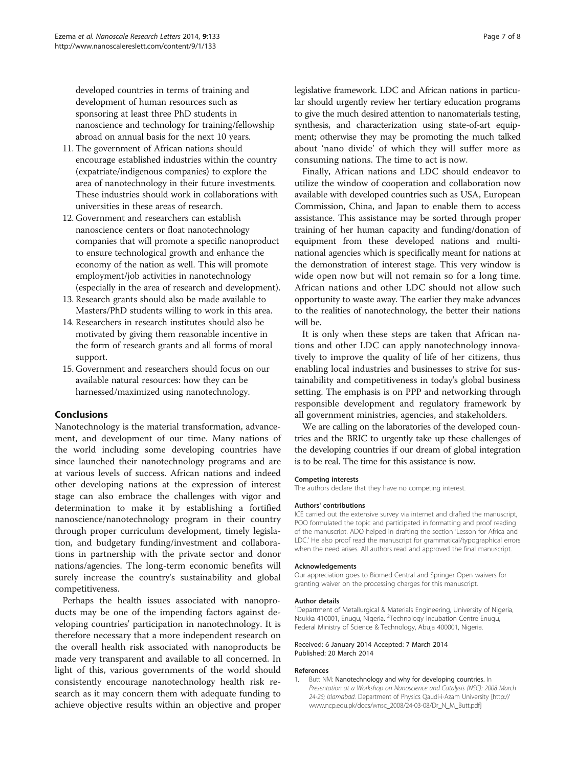<span id="page-6-0"></span>developed countries in terms of training and development of human resources such as sponsoring at least three PhD students in nanoscience and technology for training/fellowship abroad on annual basis for the next 10 years.

- 11. The government of African nations should encourage established industries within the country (expatriate/indigenous companies) to explore the area of nanotechnology in their future investments. These industries should work in collaborations with universities in these areas of research.
- 12. Government and researchers can establish nanoscience centers or float nanotechnology companies that will promote a specific nanoproduct to ensure technological growth and enhance the economy of the nation as well. This will promote employment/job activities in nanotechnology (especially in the area of research and development).
- 13. Research grants should also be made available to Masters/PhD students willing to work in this area.
- 14. Researchers in research institutes should also be motivated by giving them reasonable incentive in the form of research grants and all forms of moral support.
- 15. Government and researchers should focus on our available natural resources: how they can be harnessed/maximized using nanotechnology.

## Conclusions

Nanotechnology is the material transformation, advancement, and development of our time. Many nations of the world including some developing countries have since launched their nanotechnology programs and are at various levels of success. African nations and indeed other developing nations at the expression of interest stage can also embrace the challenges with vigor and determination to make it by establishing a fortified nanoscience/nanotechnology program in their country through proper curriculum development, timely legislation, and budgetary funding/investment and collaborations in partnership with the private sector and donor nations/agencies. The long-term economic benefits will surely increase the country's sustainability and global competitiveness.

Perhaps the health issues associated with nanoproducts may be one of the impending factors against developing countries' participation in nanotechnology. It is therefore necessary that a more independent research on the overall health risk associated with nanoproducts be made very transparent and available to all concerned. In light of this, various governments of the world should consistently encourage nanotechnology health risk research as it may concern them with adequate funding to achieve objective results within an objective and proper

legislative framework. LDC and African nations in particular should urgently review her tertiary education programs to give the much desired attention to nanomaterials testing, synthesis, and characterization using state-of-art equipment; otherwise they may be promoting the much talked about 'nano divide' of which they will suffer more as consuming nations. The time to act is now.

Finally, African nations and LDC should endeavor to utilize the window of cooperation and collaboration now available with developed countries such as USA, European Commission, China, and Japan to enable them to access assistance. This assistance may be sorted through proper training of her human capacity and funding/donation of equipment from these developed nations and multinational agencies which is specifically meant for nations at the demonstration of interest stage. This very window is wide open now but will not remain so for a long time. African nations and other LDC should not allow such opportunity to waste away. The earlier they make advances to the realities of nanotechnology, the better their nations will be.

It is only when these steps are taken that African nations and other LDC can apply nanotechnology innovatively to improve the quality of life of her citizens, thus enabling local industries and businesses to strive for sustainability and competitiveness in today's global business setting. The emphasis is on PPP and networking through responsible development and regulatory framework by all government ministries, agencies, and stakeholders.

We are calling on the laboratories of the developed countries and the BRIC to urgently take up these challenges of the developing countries if our dream of global integration is to be real. The time for this assistance is now.

#### Competing interests

The authors declare that they have no competing interest.

#### Authors' contributions

ICE carried out the extensive survey via internet and drafted the manuscript, POO formulated the topic and participated in formatting and proof reading of the manuscript. ADO helped in drafting the section 'Lesson for Africa and LDC.' He also proof read the manuscript for grammatical/typographical errors when the need arises. All authors read and approved the final manuscript.

#### Acknowledgements

Our appreciation goes to Biomed Central and Springer Open waivers for granting waiver on the processing charges for this manuscript.

#### Author details

<sup>1</sup>Department of Metallurgical & Materials Engineering, University of Nigeria, Nsukka 410001, Enugu, Nigeria. <sup>2</sup>Technology Incubation Centre Enugu Federal Ministry of Science & Technology, Abuja 400001, Nigeria.

#### Received: 6 January 2014 Accepted: 7 March 2014 Published: 20 March 2014

#### References

1. Butt NM: Nanotechnology and why for developing countries. In Presentation at a Workshop on Nanoscience and Catalysis (NSC): 2008 March 24-25; Islamabad. Department of Physics Qaudi-i-Azam University [[http://](http://www.ncp.edu.pk/docs/wnsc_2008/24-03-08/Dr_N_M_Butt.pdf) [www.ncp.edu.pk/docs/wnsc\\_2008/24-03-08/Dr\\_N\\_M\\_Butt.pdf\]](http://www.ncp.edu.pk/docs/wnsc_2008/24-03-08/Dr_N_M_Butt.pdf)